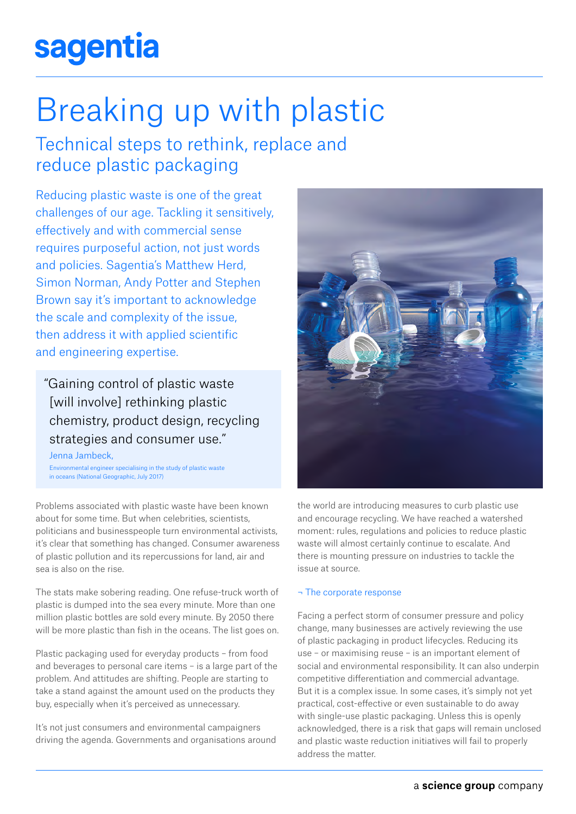# **sagentia**

# Breaking up with plastic

## Technical steps to rethink, replace and reduce plastic packaging

Reducing plastic waste is one of the great challenges of our age. Tackling it sensitively, effectively and with commercial sense requires purposeful action, not just words and policies. Sagentia's Matthew Herd, Simon Norman, Andy Potter and Stephen Brown say it's important to acknowledge the scale and complexity of the issue, then address it with applied scientific and engineering expertise.

"Gaining control of plastic waste [will involve] rethinking plastic chemistry, product design, recycling strategies and consumer use."

Jenna Jambeck, Environmental engineer specialising in the study of plastic waste in oceans (National Geographic, July 2017)

Problems associated with plastic waste have been known about for some time. But when celebrities, scientists, politicians and businesspeople turn environmental activists, it's clear that something has changed. Consumer awareness of plastic pollution and its repercussions for land, air and sea is also on the rise.

The stats make sobering reading. One refuse-truck worth of plastic is dumped into the sea every minute. More than one million plastic bottles are sold every minute. By 2050 there will be more plastic than fish in the oceans. The list goes on.

Plastic packaging used for everyday products – from food and beverages to personal care items – is a large part of the problem. And attitudes are shifting. People are starting to take a stand against the amount used on the products they buy, especially when it's perceived as unnecessary.

It's not just consumers and environmental campaigners driving the agenda. Governments and organisations around



the world are introducing measures to curb plastic use and encourage recycling. We have reached a watershed moment: rules, regulations and policies to reduce plastic waste will almost certainly continue to escalate. And there is mounting pressure on industries to tackle the issue at source.

## ¬ The corporate response

Facing a perfect storm of consumer pressure and policy change, many businesses are actively reviewing the use of plastic packaging in product lifecycles. Reducing its use – or maximising reuse – is an important element of social and environmental responsibility. It can also underpin competitive differentiation and commercial advantage. But it is a complex issue. In some cases, it's simply not yet practical, cost-effective or even sustainable to do away with single-use plastic packaging. Unless this is openly acknowledged, there is a risk that gaps will remain unclosed and plastic waste reduction initiatives will fail to properly address the matter.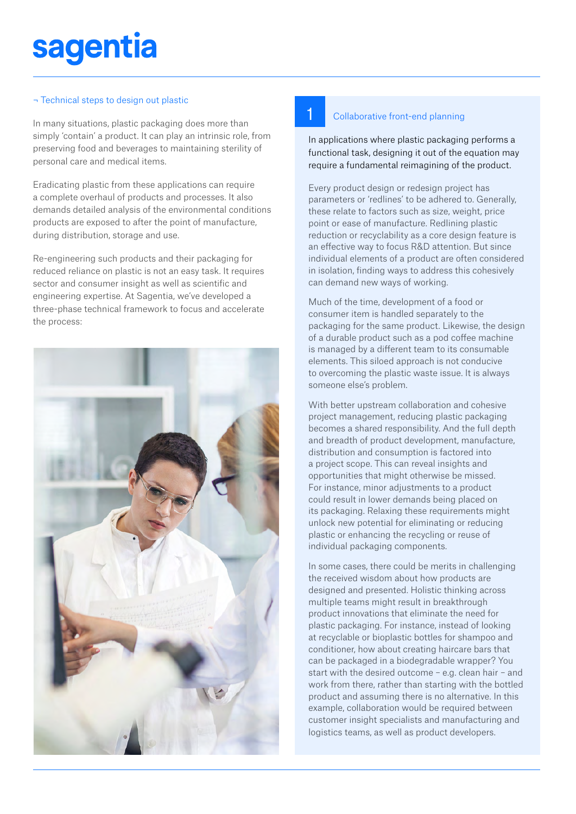## ¬ Technical steps to design out plastic

In many situations, plastic packaging does more than simply 'contain' a product. It can play an intrinsic role, from preserving food and beverages to maintaining sterility of personal care and medical items.

Eradicating plastic from these applications can require a complete overhaul of products and processes. It also demands detailed analysis of the environmental conditions products are exposed to after the point of manufacture, during distribution, storage and use.

Re-engineering such products and their packaging for reduced reliance on plastic is not an easy task. It requires sector and consumer insight as well as scientific and engineering expertise. At Sagentia, we've developed a three-phase technical framework to focus and accelerate the process:



## 1

## Collaborative front-end planning

In applications where plastic packaging performs a functional task, designing it out of the equation may require a fundamental reimagining of the product.

Every product design or redesign project has parameters or 'redlines' to be adhered to. Generally, these relate to factors such as size, weight, price point or ease of manufacture. Redlining plastic reduction or recyclability as a core design feature is an effective way to focus R&D attention. But since individual elements of a product are often considered in isolation, finding ways to address this cohesively can demand new ways of working.

Much of the time, development of a food or consumer item is handled separately to the packaging for the same product. Likewise, the design of a durable product such as a pod coffee machine is managed by a different team to its consumable elements. This siloed approach is not conducive to overcoming the plastic waste issue. It is always someone else's problem.

With better upstream collaboration and cohesive project management, reducing plastic packaging becomes a shared responsibility. And the full depth and breadth of product development, manufacture, distribution and consumption is factored into a project scope. This can reveal insights and opportunities that might otherwise be missed. For instance, minor adjustments to a product could result in lower demands being placed on its packaging. Relaxing these requirements might unlock new potential for eliminating or reducing plastic or enhancing the recycling or reuse of individual packaging components.

In some cases, there could be merits in challenging the received wisdom about how products are designed and presented. Holistic thinking across multiple teams might result in breakthrough product innovations that eliminate the need for plastic packaging. For instance, instead of looking at recyclable or bioplastic bottles for shampoo and conditioner, how about creating haircare bars that can be packaged in a biodegradable wrapper? You start with the desired outcome – e.g. clean hair – and work from there, rather than starting with the bottled product and assuming there is no alternative. In this example, collaboration would be required between customer insight specialists and manufacturing and logistics teams, as well as product developers.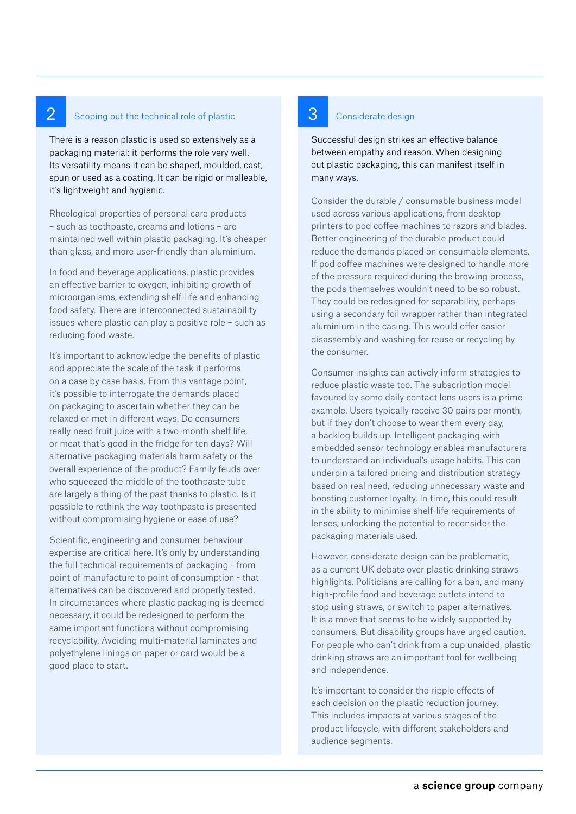## 2 Scoping out the technical role of plastic **3**

There is a reason plastic is used so extensively as a packaging material: it performs the role very well. Its versatility means it can be shaped, moulded, cast, spun or used as a coating. It can be rigid or malleable, it's lightweight and hygienic.

Rheological properties of personal care products – such as toothpaste, creams and lotions – are maintained well within plastic packaging. It's cheaper than glass, and more user-friendly than aluminium.

In food and beverage applications, plastic provides an effective barrier to oxygen, inhibiting growth of microorganisms, extending shelf-life and enhancing food safety. There are interconnected sustainability issues where plastic can play a positive role – such as reducing food waste.

It's important to acknowledge the benefits of plastic and appreciate the scale of the task it performs on a case by case basis. From this vantage point, it's possible to interrogate the demands placed on packaging to ascertain whether they can be relaxed or met in different ways. Do consumers really need fruit juice with a two-month shelf life, or meat that's good in the fridge for ten days? Will alternative packaging materials harm safety or the overall experience of the product? Family feuds over who squeezed the middle of the toothpaste tube are largely a thing of the past thanks to plastic. Is it possible to rethink the way toothpaste is presented without compromising hygiene or ease of use?

Scientific, engineering and consumer behaviour expertise are critical here. It's only by understanding the full technical requirements of packaging - from point of manufacture to point of consumption - that alternatives can be discovered and properly tested. In circumstances where plastic packaging is deemed necessary, it could be redesigned to perform the same important functions without compromising recyclability. Avoiding multi-material laminates and polyethylene linings on paper or card would be a good place to start.

## Considerate design

Successful design strikes an effective balance between empathy and reason. When designing out plastic packaging, this can manifest itself in many ways.

Consider the durable / consumable business model used across various applications, from desktop printers to pod coffee machines to razors and blades. Better engineering of the durable product could reduce the demands placed on consumable elements. If pod coffee machines were designed to handle more of the pressure required during the brewing process, the pods themselves wouldn't need to be so robust. They could be redesigned for separability, perhaps using a secondary foil wrapper rather than integrated aluminium in the casing. This would offer easier disassembly and washing for reuse or recycling by the consumer.

Consumer insights can actively inform strategies to reduce plastic waste too. The subscription model favoured by some daily contact lens users is a prime example. Users typically receive 30 pairs per month, but if they don't choose to wear them every day, a backlog builds up. Intelligent packaging with embedded sensor technology enables manufacturers to understand an individual's usage habits. This can underpin a tailored pricing and distribution strategy based on real need, reducing unnecessary waste and boosting customer loyalty. In time, this could result in the ability to minimise shelf-life requirements of lenses, unlocking the potential to reconsider the packaging materials used.

However, considerate design can be problematic, as a current UK debate over plastic drinking straws highlights. Politicians are calling for a ban, and many high-profile food and beverage outlets intend to stop using straws, or switch to paper alternatives. It is a move that seems to be widely supported by consumers. But disability groups have urged caution. For people who can't drink from a cup unaided, plastic drinking straws are an important tool for wellbeing and independence.

It's important to consider the ripple effects of each decision on the plastic reduction journey. This includes impacts at various stages of the product lifecycle, with different stakeholders and audience segments.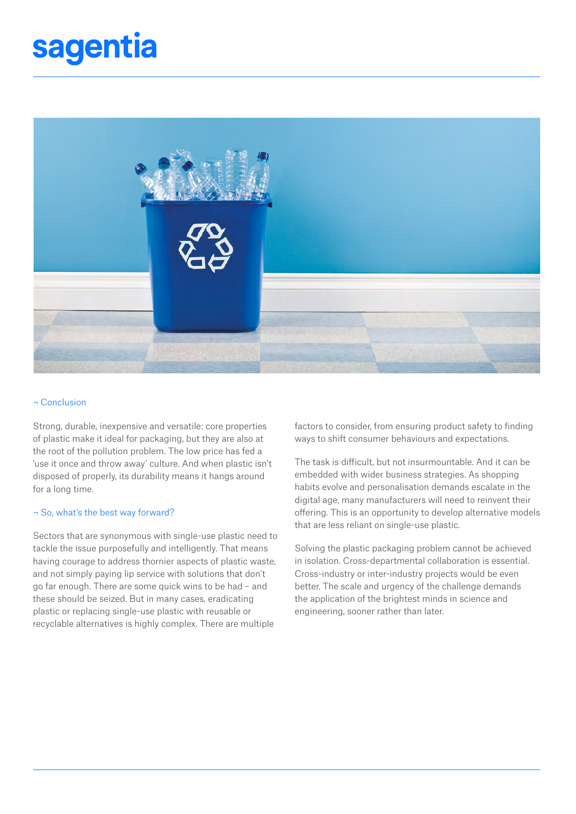# **sagentia**



## ¬ Conclusion

Strong, durable, inexpensive and versatile: core properties of plastic make it ideal for packaging, but they are also at the root of the pollution problem. The low price has fed a 'use it once and throw away' culture. And when plastic isn't disposed of properly, its durability means it hangs around for a long time.

## ¬ So, what's the best way forward?

Sectors that are synonymous with single-use plastic need to tackle the issue purposefully and intelligently. That means having courage to address thornier aspects of plastic waste, and not simply paying lip service with solutions that don't go far enough. There are some quick wins to be had – and these should be seized. But in many cases, eradicating plastic or replacing single-use plastic with reusable or recyclable alternatives is highly complex. There are multiple

factors to consider, from ensuring product safety to finding ways to shift consumer behaviours and expectations.

The task is difficult, but not insurmountable. And it can be embedded with wider business strategies. As shopping habits evolve and personalisation demands escalate in the digital age, many manufacturers will need to reinvent their offering. This is an opportunity to develop alternative models that are less reliant on single-use plastic.

Solving the plastic packaging problem cannot be achieved in isolation. Cross-departmental collaboration is essential. Cross-industry or inter-industry projects would be even better. The scale and urgency of the challenge demands the application of the brightest minds in science and engineering, sooner rather than later.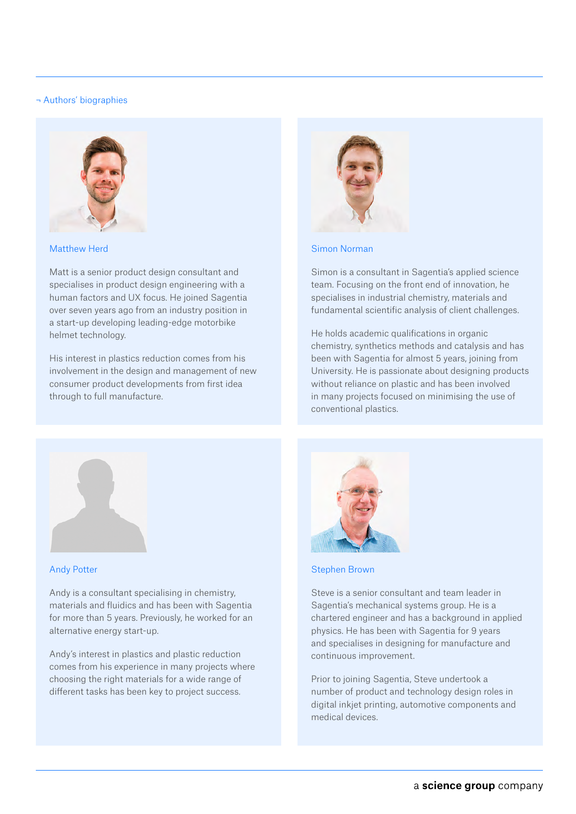## ¬ Authors' biographies



Matthew Herd

Matt is a senior product design consultant and specialises in product design engineering with a human factors and UX focus. He joined Sagentia over seven years ago from an industry position in a start-up developing leading-edge motorbike helmet technology.

His interest in plastics reduction comes from his involvement in the design and management of new consumer product developments from first idea through to full manufacture.



Simon Norman

Simon is a consultant in Sagentia's applied science team. Focusing on the front end of innovation, he specialises in industrial chemistry, materials and fundamental scientific analysis of client challenges.

He holds academic qualifications in organic chemistry, synthetics methods and catalysis and has been with Sagentia for almost 5 years, joining from University. He is passionate about designing products without reliance on plastic and has been involved in many projects focused on minimising the use of conventional plastics.



### Andy Potter

Andy is a consultant specialising in chemistry, materials and fluidics and has been with Sagentia for more than 5 years. Previously, he worked for an alternative energy start-up.

Andy's interest in plastics and plastic reduction comes from his experience in many projects where choosing the right materials for a wide range of different tasks has been key to project success.



Stephen Brown

Steve is a senior consultant and team leader in Sagentia's mechanical systems group. He is a chartered engineer and has a background in applied physics. He has been with Sagentia for 9 years and specialises in designing for manufacture and continuous improvement.

Prior to joining Sagentia, Steve undertook a number of product and technology design roles in digital inkjet printing, automotive components and medical devices.